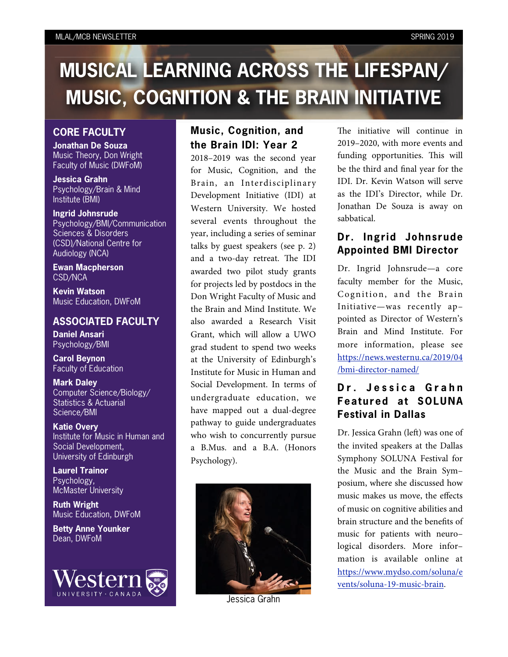#### MLAL/MCB NEWSLETTER SPRING 2019

# **MUSICAL LEARNING ACROSS THE LIFESPAN/ MUSIC, COGNITION & THE BRAIN INITIATIVE**

#### **CORE FACULTY**

**Jonathan De Souza** Music Theory, Don Wright Faculty of Music (DWFoM)

**Jessica Grahn** Psychology/Brain & Mind Institute (BMI)

**Ingrid Johnsrude** Psychology/BMI/Communication Sciences & Disorders (CSD)/National Centre for Audiology (NCA)

**Ewan Macpherson** CSD/NCA

**Kevin Watson** Music Education, DWFoM

#### **ASSOCIATED FACULTY**

**Daniel Ansari** Psychology/BMI

**Carol Beynon** Faculty of Education

**Mark Daley** Computer Science/Biology/ Statistics & Actuarial Science/BMI

**Katie Overy** Institute for Music in Human and Social Development, University of Edinburgh

**Laurel Trainor** Psychology, McMaster University

**Ruth Wright** Music Education, DWFoM

**Betty Anne Younker** Dean, DWFoM



## **Music, Cognition, and the Brain IDI: Year 2**

2018–2019 was the second year for Music, Cognition, and the Brain, an Interdisciplinary Development Initiative (IDI) at Western University. We hosted several events throughout the year, including a series of seminar talks by guest speakers (see p. 2) and a two-day retreat. The IDI awarded two pilot study grants for projects led by postdocs in the Don Wright Faculty of Music and the Brain and Mind Institute. We also awarded a Research Visit Grant, which will allow a UWO grad student to spend two weeks at the University of Edinburgh's Institute for Music in Human and Social Development. In terms of undergraduate education, we have mapped out a dual-degree pathway to guide undergraduates who wish to concurrently pursue a B.Mus. and a B.A. (Honors Psychology).



Jessica Grahn

The initiative will continue in 2019–2020, with more events and funding opportunities. This will be the third and final year for the IDI. Dr. Kevin Watson will serve as the IDI's Director, while Dr. Jonathan De Souza is away on sabbatical.

### **Dr. Ingrid Johnsrude Appointed BMI Director**

Dr. Ingrid Johnsrude—a core faculty member for the Music, Cognition, and the Brain Initiative—was recently ap– pointed as Director of Western's Brain and Mind Institute. For more information, please see [https://news.westernu.ca/2019/04](https://news.westernu.ca/2019/04/bmi-director-named/) [/bmi-director-named/](https://news.westernu.ca/2019/04/bmi-director-named/)

# **[D](https://news.westernu.ca/2019/04/bmi-director-named/) [r](https://news.westernu.ca/2019/04/bmi-director-named/) [. J](https://news.westernu.ca/2019/04/bmi-director-named/) [e](https://news.westernu.ca/2019/04/bmi-director-named/) [s](https://news.westernu.ca/2019/04/bmi-director-named/) [s](https://news.westernu.ca/2019/04/bmi-director-named/) [i](https://news.westernu.ca/2019/04/bmi-director-named/) [c](https://news.westernu.ca/2019/04/bmi-director-named/) [a](https://news.westernu.ca/2019/04/bmi-director-named/) G r a h n Featured at SOLUNA Festival in Dallas**

Dr. Jessica Grahn (left) was one of the invited speakers at the Dallas Symphony SOLUNA Festival for the Music and the Brain Sym– posium, where she discussed how music makes us move, the effects of music on cognitive abilities and brain structure and the benefits of music for patients with neuro– logical disorders. More infor– mation is available online at [https://www.mydso.com/soluna/e](https://www.mydso.com/soluna/events/soluna-19-music-brain) [vents/soluna-19-music-brain.](https://www.mydso.com/soluna/events/soluna-19-music-brain)